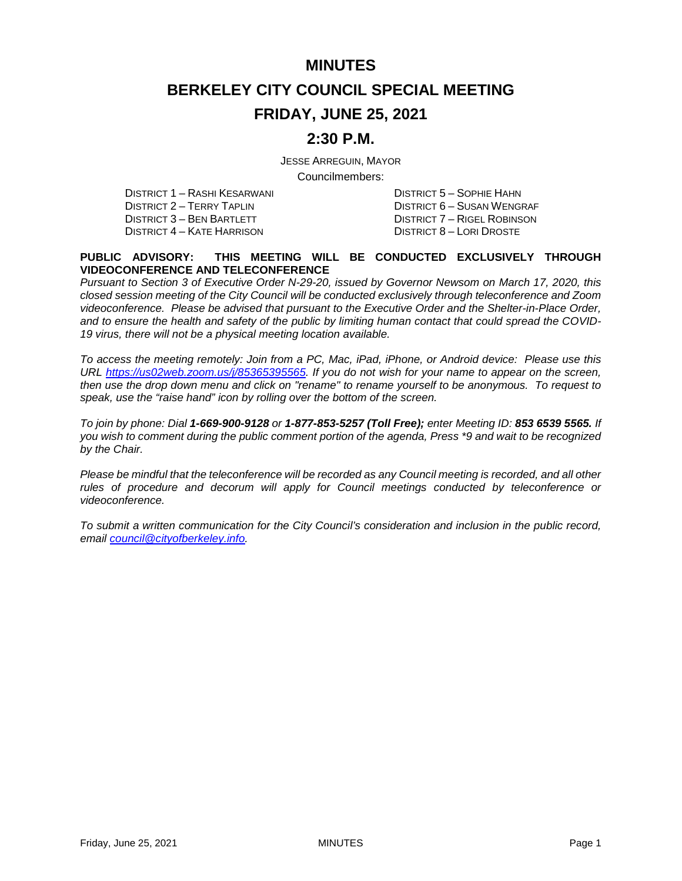### **MINUTES**

# **BERKELEY CITY COUNCIL SPECIAL MEETING**

## **FRIDAY, JUNE 25, 2021**

## **2:30 P.M.**

JESSE ARREGUIN, MAYOR

Councilmembers:

DISTRICT 1 – RASHI KESARWANI DISTRICT 5 – SOPHIE HAHN DISTRICT 2 – TERRY TAPLIN DISTRICT 6 – SUSAN WENGRAF DISTRICT 3 – BEN BARTLETT DISTRICT 7 – RIGEL ROBINSON<br>DISTRICT 4 – KATE HARRISON DISTRICT 8 – LORI DROSTE DISTRICT 4 – KATE HARRISON

#### **PUBLIC ADVISORY: THIS MEETING WILL BE CONDUCTED EXCLUSIVELY THROUGH VIDEOCONFERENCE AND TELECONFERENCE**

*Pursuant to Section 3 of Executive Order N-29-20, issued by Governor Newsom on March 17, 2020, this closed session meeting of the City Council will be conducted exclusively through teleconference and Zoom videoconference. Please be advised that pursuant to the Executive Order and the Shelter-in-Place Order, and to ensure the health and safety of the public by limiting human contact that could spread the COVID-19 virus, there will not be a physical meeting location available.* 

*To access the meeting remotely: Join from a PC, Mac, iPad, iPhone, or Android device: Please use this URL [https://us02web.zoom.us/j/85365395565.](https://us02web.zoom.us/j/85365395565) If you do not wish for your name to appear on the screen, then use the drop down menu and click on "rename" to rename yourself to be anonymous. To request to speak, use the "raise hand" icon by rolling over the bottom of the screen.* 

*To join by phone: Dial 1-669-900-9128 or 1-877-853-5257 (Toll Free); enter Meeting ID: 853 6539 5565. If you wish to comment during the public comment portion of the agenda, Press \*9 and wait to be recognized by the Chair.* 

*Please be mindful that the teleconference will be recorded as any Council meeting is recorded, and all other rules of procedure and decorum will apply for Council meetings conducted by teleconference or videoconference.*

*To submit a written communication for the City Council's consideration and inclusion in the public record, email [council@cityofberkeley.info.](mailto:council@cityofberkeley.info)*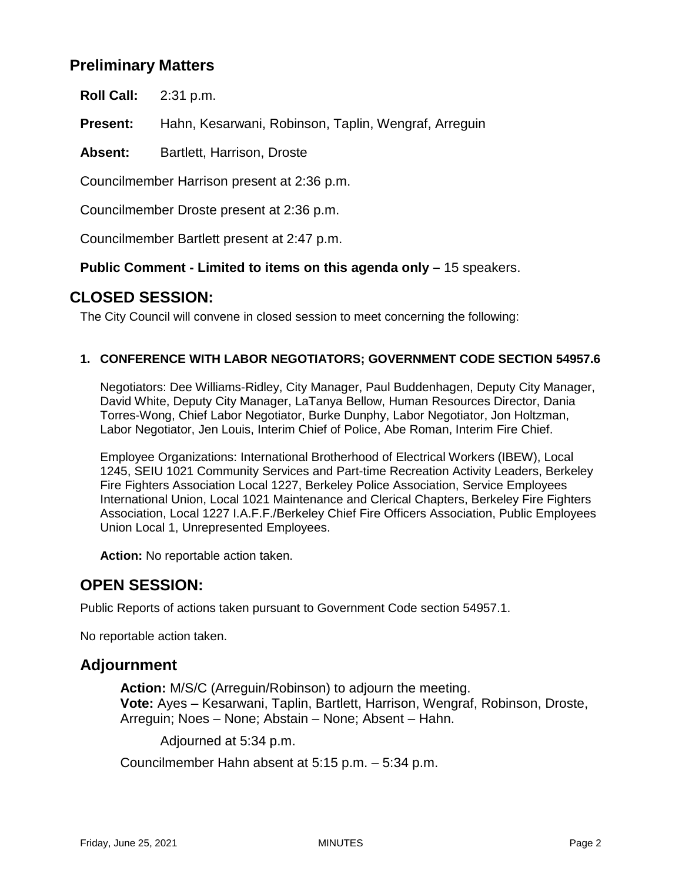# **Preliminary Matters**

**Roll Call:** 2:31 p.m.

**Present:** Hahn, Kesarwani, Robinson, Taplin, Wengraf, Arreguin

Absent: Bartlett, Harrison, Droste

Councilmember Harrison present at 2:36 p.m.

Councilmember Droste present at 2:36 p.m.

Councilmember Bartlett present at 2:47 p.m.

**Public Comment - Limited to items on this agenda only –** 15 speakers.

## **CLOSED SESSION:**

The City Council will convene in closed session to meet concerning the following:

#### **1. CONFERENCE WITH LABOR NEGOTIATORS; GOVERNMENT CODE SECTION 54957.6**

Negotiators: Dee Williams-Ridley, City Manager, Paul Buddenhagen, Deputy City Manager, David White, Deputy City Manager, LaTanya Bellow, Human Resources Director, Dania Torres-Wong, Chief Labor Negotiator, Burke Dunphy, Labor Negotiator, Jon Holtzman, Labor Negotiator, Jen Louis, Interim Chief of Police, Abe Roman, Interim Fire Chief.

Employee Organizations: International Brotherhood of Electrical Workers (IBEW), Local 1245, SEIU 1021 Community Services and Part-time Recreation Activity Leaders, Berkeley Fire Fighters Association Local 1227, Berkeley Police Association, Service Employees International Union, Local 1021 Maintenance and Clerical Chapters, Berkeley Fire Fighters Association, Local 1227 I.A.F.F./Berkeley Chief Fire Officers Association, Public Employees Union Local 1, Unrepresented Employees.

**Action:** No reportable action taken.

## **OPEN SESSION:**

Public Reports of actions taken pursuant to Government Code section 54957.1.

No reportable action taken.

### **Adjournment**

**Action:** M/S/C (Arreguin/Robinson) to adjourn the meeting. **Vote:** Ayes – Kesarwani, Taplin, Bartlett, Harrison, Wengraf, Robinson, Droste, Arreguin; Noes – None; Abstain – None; Absent – Hahn.

Adjourned at 5:34 p.m.

Councilmember Hahn absent at 5:15 p.m. – 5:34 p.m.